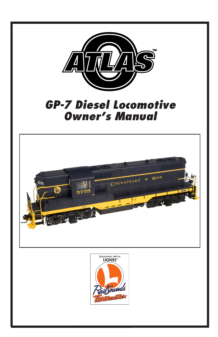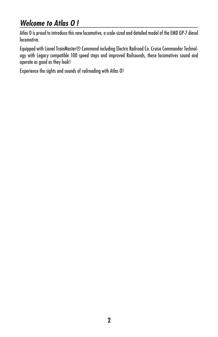# *Welcome to Atlas O !*

Atlas O is proud to introduce this new locomotive, a scale-sized and detailed model of the EMD GP-7 diesel locomotive.

Equipped with Lionel TrainMaster® Command including Electric Railroad Co. Cruise Commander Technology with Legacy compatible 100 speed steps and improved Railsounds, these locomotives sound and operate as good as they look!

Experience the sights and sounds of railroading with Atlas O!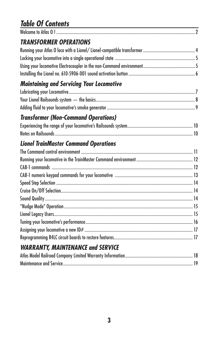# *Table Of Contents*

| <b>TRANSFORMER OPERATIONS</b>                    |  |
|--------------------------------------------------|--|
|                                                  |  |
|                                                  |  |
|                                                  |  |
|                                                  |  |
| <b>Maintaining and Servicing Your Locomotive</b> |  |
|                                                  |  |
|                                                  |  |
|                                                  |  |
| <b>Transformer (Non-Command Operations)</b>      |  |
|                                                  |  |
|                                                  |  |
| <b>Lionel TrainMaster Command Operations</b>     |  |
|                                                  |  |
|                                                  |  |
|                                                  |  |
|                                                  |  |
|                                                  |  |
|                                                  |  |
|                                                  |  |
|                                                  |  |
|                                                  |  |
|                                                  |  |
|                                                  |  |
|                                                  |  |
| <b>WARRANTY, MAINTENANCE and SERVICE</b>         |  |
|                                                  |  |
|                                                  |  |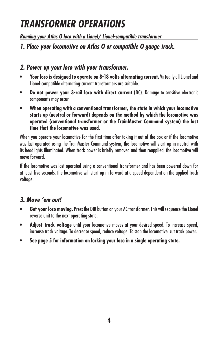# *TRANSFORMER OPERATIONS*

*Running your Atlas O loco with a Lionel/ Lionel-compatible transformer*

*1. Place your locomotive on Atlas O or compatible O gauge track.*

## *2. Power up your loco with your transformer.*

- **Your loco is designed to operate on 8-18 volts alternating current.** Virtually all Lionel and Lionel-compatible alternating-current transformers are suitable.
- **Do not power your 3-rail loco with direct current** (DC). Damage to sensitive electronic components may occur.
- **When operating with a conventional transformer, the state in which your locomotive starts up (neutral or forward) depends on the method by which the locomotive was operated (conventional transformer or the TrainMaster Command system) the last time that the locomotive was used.**

When you operate your locomotive for the first time after taking it out of the box or if the locomotive was last operated using the TrainMaster Command system, the locomotive will start up in neutral with its headlights illuminated. When track power is briefly removed and then reapplied, the locomotive will move forward.

If the locomotive was last operated using a conventional transformer and has been powered down for at least five seconds, the locomotive will start up in forward at a speed dependent on the applied track voltage.

## *3. Move 'em out!*

- **Get your loco moving.** Press the DIR button on your AC transformer. This will sequence the Lionel reverse unit to the next operating state.
- **Adjust track voltage** until your locomotive moves at your desired speed. To increase speed, increase track voltage. To decrease speed, reduce voltage. To stop the locomotive, cut track power.
- **See page 5 for information on locking your loco in a single operating state.**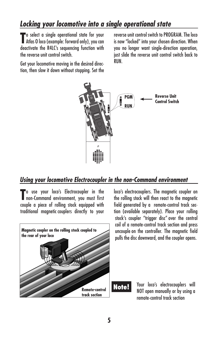# *Locking your locomotive into a single operational state*

To select a single operational state for your<br>
Atlas 0 loco (example: forward only), you can **T** o select a single operational state for your deactivate the R4LC's sequencing function with the reverse unit control switch.

Get your locomotive moving in the desired direction, then slow it down without stopping. Set the reverse unit control switch to PROGRAM. The loco is now "locked" into your chosen direction. When you no longer want single-direction operation, just slide the reverse unit control switch back to RUN.



### *Using your locomotive Electrocoupler in the non-Command environment*

To use your loco's Electrocoupler in the<br> **The Command environment**, you must first **To** use your loco's Electrocoupler in the couple a piece of rolling stock equipped with traditional magnetic couplers directly to your



loco's electrocouplers. The magnetic coupler on the rolling stock will then react to the magnetic field generated by a remote-control track section (available separately). Place your rolling stock's coupler "trigger disc" over the central coil of a remote-control track section and press uncouple on the controller. The magnetic field pulls the disc downward, and the coupler opens.

> Your loco's electrocouplers will NOT open manually or by using a remote-control track section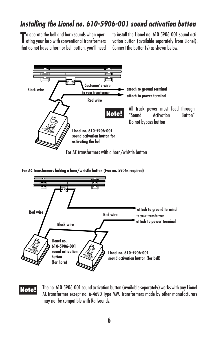# *Installing the Lionel no. 610-5906-001 sound activation button*

**T** o operate the bell and horn sounds when oper-<br>dring your loco with conventional transformers ating your loco with conventional transformers that do not have a horn or bell button, you'll need to install the Lionel no. 610-5906-001 sound activation button (available separately from Lionel). Connect the button(s) as shown below.



The no. 610-5906-001 sound activation button (available separately) works with any Lionel AC transformer except no. 6-4690 Type MW. Transformers made by other manufacturers may not be compatible with Railsounds. **Note!**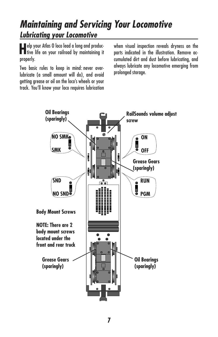# *Lubricating your Locomotive Maintaining and Servicing Your Locomotive*

**H**elp your Atlas O loco lead a long and produc-tive life on your railroad by maintaining it properly.

Two basic rules to keep in mind: never overlubricate (a small amount will do), and avoid getting grease or oil on the loco's wheels or your track. You'll know your loco requires lubrication

when visual inspection reveals dryness on the parts indicated in the illustration. Remove accumulated dirt and dust before lubricating, and always lubricate any locomotive emerging from prolonged storage.

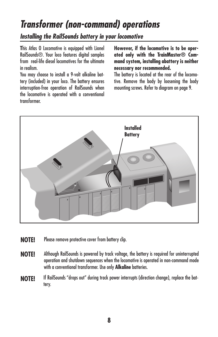# *Transformer (non-command) operations*

## *Installing the RailSounds battery in your locomotive*

**T**his Atlas O Locomotive is equipped with Lionel RailSounds®. Your loco features digital samples from real-life diesel locomotives for the ultimate in realism.

You may choose to install a 9-volt alkaline battery (included) in your loco. The battery ensures interruption-free operation of RailSounds when the locomotive is operated with a conventional transformer.

**However, if the locomotive is to be operated only with the TrainMaster® Command system, installing abattery is neither necessary nor recommended.**

The battery is located at the rear of the locomotive. Remove the body by loosening the body mounting screws. Refer to diagram on page 9.



- **NOTE!** Please remove protective cover from battery clip.
- **NOTE!** Although RailSounds is powered by track voltage, the battery is required for uninterrupted operation and shutdown sequences when the locomotive is operated in non-command mode with a conventional transformer. Use only **Alkaline** batteries.
- **NOTE!** If RailSounds "drops out" during track power interrupts (direction change), replace the battery.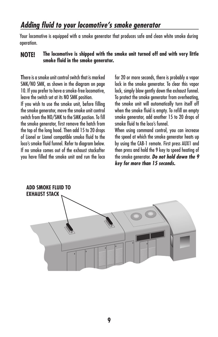Your locomotive is equipped with a smoke generator that produces safe and clean white smoke during operation.

#### **NOTE! The locomotive is shipped with the smoke unit turned off and with very little smoke fluid in the smoke generator.**

**T**here is a smoke unit control switch that is marked SMK/NO SMK, as shown in the diagram on page 10. If you prefer to have a smoke-free locomotive, leave the switch set at its NO SMK position.

If you wish to use the smoke unit, before filling the smoke generator, move the smoke unit control switch from the NO/SMK to the SMK postion. To fill the smoke generator, first remove the hatch from the top of the long hood. Then add 15 to 20 drops of Lionel or Lionel compatible smoke fluid to the loco's smoke fluid funnel. Refer to diagram below. If no smoke comes out of the exhaust stackafter you have filled the smoke unit and run the loco

for 20 or more seconds, there is probably a vapor lock in the smoke generator. To clear this vapor lock, simply blow gently down the exhaust funnel. To protect the smoke generator from overheating, the smoke unit will automatically turn itself off when the smoke fluid is empty. To refill an empty smoke generator, add another 15 to 20 drops of smoke fluid to the loco's funnel.

When using command control, you can increase the speed at which the smoke generator heats up by using the CAB-1 remote. First press AUX1 and then press and hold the 9 key to speed heating of the smoke generator. *Do not hold down the 9 key for more than 15 seconds.*

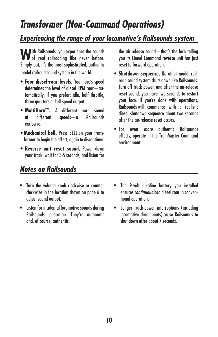# *Transformer (Non-Command Operations)*

# *Experiencing the range of your locomotive's Railsounds system*

**W**ith Railsounds, you experience the sounds<br>of real railroading like never before. Simply put, it's the most sophisticated, authentic model railroad sound system in the world.

- **Four diesel-roar levels.** Your loco's speed determines the level of diesel RPM roar—automatically, if you prefer: idle, half throttle, three quarters or full-speed output.
- **MultiHorn™.** A different horn sound at different speeds—a exclusive.
- **Mechanical bell.** Press BELL on your transformer to begin the effect, again to discontinue.
- **Reverse unit reset sound.** Power down your track, wait for 3-5 seconds, and listen for

## *Notes on Railsounds*

- Turn the volume knob clockwise or counter clockwise in the location shown on page 6 to adjust sound output.
- Listen for incidental locomotive sounds during Railsounds operation. They're automatic and, of course, authentic.

the air-release sound—that's the loco telling you its Lionel Command reverse unit has just reset to forward operation.

- **Shutdown sequence.** No other model railroad sound system shuts down like Railsounds. Turn off track power, and after the air-release reset sound, you have two seconds to restart your loco. If you're done with operations, Railsounds will commence with a realistic diesel shutdown sequence about two seconds after the air-release reset occurs.
- For even *more* authentic Railsounds effects, operate in the TrainMaster Command environment.

- The 9-volt alkaline battery you installed ensures *continuous* loco diesel roar in conventional operation.
- Longer track-power interruptions (including locomotive derailments) cause Railsounds to shut down after about 7 seconds.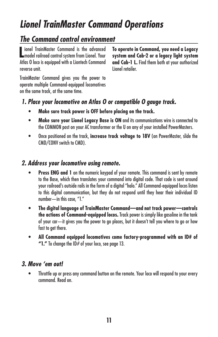# *Lionel TrainMaster Command Operations*

# *The Command control environment*

**Letter in TrainMaster Command is the advanced model railroad control system from Lionel. Your** ionel TrainMaster Command is the advanced Atlas O loco is equipped with a Liontech Command reverse unit.

**To operate in Command, you need a Legacy system and Cab-2 or a legacy light system and Cab-1 L.** Find them both at your authorized Lionel retailer.

TrainMaster Command gives you the power to operate multiple Command-equipped locomotives on the same track, at the same time.

## *1. Place your locomotive on Atlas O or compatible O gauge track.*

- **• Make sure track power is OFF before placing on the track.**
- **• Make sure your Lionel Legacy Base is ON** and its communications wire is connected to the COMMON post on your AC transformer or the U on any of your installed PowerMasters.
- Once positioned on the track, **increase track voltage to 18V** (on PowerMaster, slide the CMD/CONV switch to CMD).

## *2. Address your locomotive using remote.*

- **• Press ENG and 1** on the numeric keypad of your remote. This command is sent by remote to the Base, which then translates your command into digital code. That code is sent around your railroad's outside rails in the form of a digital "halo." All Command-equipped locos listen to this digital communication, but they do not respond until they hear their individual ID number—in this case, "1."
- **• The digital language of TrainMaster Command—and not track power—controls the actions of Command-equipped locos.** Track power is simply like gasoline in the tank of your car—it gives you the power to go places, but it doesn't tell you where to go or how fast to get there.
- **• All Command equipped locomotives come factory-programmed with an ID# of "1."** To change the ID# of your loco, see page 13.

## *3. Move 'em out!*

• Throttle up or press any command button on the remote. Your loco will respond to your every command. Read on.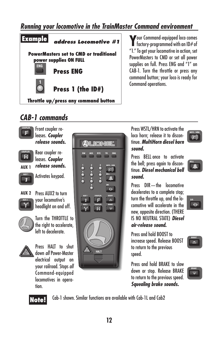## *Running your locomotive in the TrainMaster Command environment*



**Y**our Command-equipped loco comes **f** factory-programmed with an ID# of "1." To get your locomotive in action, set PowerMasters to CMD or set all power supplies on full. Press ENG and "1" on CAB-1. Turn the throttle or press any command button; your loco is ready for Command operations.

## *CAB-1 commands*

**AUX 1**

 $\hat{\mathbf{T}}$ 

R



Press WSTL/HRN to activate the loco horn; release it to discontinue. *MultiHorn diesel horn sound.*

Press BELL once to activate the bell; press again to discontinue. *Diesel mechanical bell sound.*

Press DIR—the locomotive decelerates to a complete stop; turn the throttle up, and the locomotive will accelerate in the new, opposite direction. (THERE IS NO NEUTRAL STATE) *Diesel air-release sound.*

Press and hold BOOST to increase speed. Release BOOST to return to the previous speed.

Press and hold BRAKE to slow down or stop. Release BRAKE to return to the previous speed. *Squealing brake sounds.*



 $\Box$ 

 $\circledcirc$ 





tion.

Command-equipped locomotives in opera-

Cab-1 shown. Similar functions are available with Cab-1L and Cab2 **Note!**

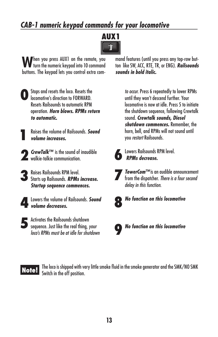# *CAB-1 numeric keypad commands for your locomotive*



When you press AUX1 on the remote, you<br>When the numeric keypad into 10 command buttons. The keypad lets you control extra com-



**1** Stops and resets the loco. Resets the locomotive's direction to FORWARD. Resets Railsounds to automatic RPM operation. *Horn blows. RPMs return to automatic.*

**1** Raises the volume of Railsounds. *Sound volume increases.*

**2***CrewTalk™* is the sound of inaudible walkie-talkie communication.

**3**Raises Railsounds RPM level. Starts up Railsounds. *RPMs increase. Startup sequence commences.*

**4**Lowers the volume of Railsounds. *Sound volume decreases.*

**5**Activates the Railsounds shutdown sequence. Just like the real thing, *your loco's RPMs must be at idle for shutdown*  mand features (until you press any top-row button like SW, ACC, RTE, TR, or ENG). *Railsounds sounds in bold italic.* 

> *to occur.* Press 6 repeatedly to lower RPMs until they won't descend further. Your locomotive is now at idle. Press 5 to initiate the shutdown sequence, following Crewtalk sound. *Crewtalk sounds, Diesel shutdown commences.* Remember, the horn, bell, and RPMs will not sound until you *restart* Railsounds.



**6**Lowers Railsounds RPM level. *RPMs decrease.*



**7***TowerCom™* is an audible announcement from the dispatcher. *There is a four second delay in this function.*



**8***No function on this locomotive*



**9***No function on this locomotive*

The loco is shipped with very little smoke fluid in the smoke generator and the SMK/NO SMK **Note!** Switch in the off position.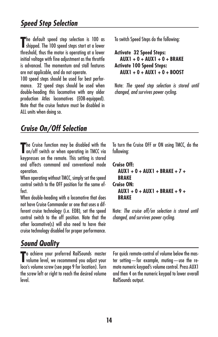The default speed step selection is 100 as<br>
shipped. The 100 speed steps start at a lower **The default speed step selection is 100 as** threshold, thus the motor is operating at a lower initial voltage with fine adjustment as the throttle is advanced. The momentum and stall features are not applicable, and do not operate.

100 speed steps should be used for best performance. 32 speed steps should be used when double-heading this locomotive with any older production Atlas locomotives (EOB-equipped). Note that the cruise feature must be disabled in ALL units when doing so.

To switch Speed Steps do the following:

```
Activate 32 Speed Steps: 
   AUX1 + 0 + AUX1 + 0 + BRAKE
Activate 100 Speed Steps:
   AUX1 + 0 + AUX1 + 0 + BOOST
```
Note: *The speed step selection is stored until changed, and survives power cycling.*

# *Cruise On/Off Selection*

The Cruise function may be disabled with the<br>
on/off switch or when operating in TMCC via on/off switch or when operating in TMCC via keypresses on the remote. This setting is stored and affects command and conventional mode operation.

When operating without TMCC, simply set the speed control switch to the OFF position for the same effect.

When double-heading with a locomotive that does not have Cruise Commander or one that uses a different cruise technology (i.e. EOB), set the speed control switch to the off position. Note that the other locomotive(s) will also need to have their cruise technology disabled for proper performance.

# *Sound Quality*

**T** o achieve your preferred RailSounds master volume level, we recommend you adjust your loco's volume screw (see page 9 for location). Turn the screw left or right to reach the desired volume level.

To turn the Cruise OFF or ON using TMCC, do the following:

```
Cruise Off: 
   AUX1 + 0 + AUX1 + BRAKE + 7 + 
   BRAKE
Cruise ON:
   AUX1 + 0 + AUX1 + BRAKE + 9 +
   BRAKE
```
Note: *The cruise off/on selection is stored until changed, and survives power cycling.*

For quick remote-control of volume below the master setting—for example, muting—use the remote numeric keypad's volume control. Press AUX1 and then 4 on the numeric keypad to lower overall RailSounds output.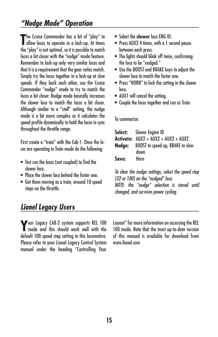## *"Nudge Mode" Operation*

The Cruise Commander has a bit of "play" to<br>
allow locos to operate in a lash-up. At times allow locos to operate in a lash-up. At times the "play" is not optimal, so it is possible to match locos a bit closer with the "nudge" mode feature. Remember to lash-up only very similar locos and that it is a requirement that the gear ratios match. Simply try the locos together in a lash-up at slow speeds. If they buck each other, use the Cruise Commander "nudge" mode to try to match the locos a bit closer. Nudge mode basically increases the slower loco to match the locos a bit closer. Although similar to a "stall" setting, the nudge mode is a bit more complex as it calculates the speed profile dynamically to hold the locos in sync throughout the throttle range.

First create a "train" with the Cab-1. Once the locos are operating in Train mode do the following:

- Test run the locos (not coupled) to find the slower loco.
- Place the slower loco behind the faster one.
- Get them moving as a train, around 10 speed steps on the throttle.
- Select the **slower** loco ENG ID.
- Press AUX2 4 times, with a 1 second pause between each press.
- The lights should blink off twice, confirming the loco to be "nudged."
- Use the BOOST and BRAKE keys to adjust the slower loco to match the faster one.
- Press "HORN" to lock the setting in the slower loco.
- AUX1 will cancel the setting.
- Couple the locos together and run as Train

To summarize:

|       | <b>Select:</b> Slower Engine ID                |
|-------|------------------------------------------------|
|       | <b>Activate:</b> $AUX2 + AUX2 + AUX2 + AUX2$   |
|       | <b>Nudge:</b> BOOST to speed up, BRAKE to slow |
|       | down                                           |
| Save: | Horn                                           |

*To clear the nudge settings, select the speed step (32 or 100) on the "nudged" loco. NOTE: the "nudge" selection is stored until changed, and survives power cycling.*

## *Lionel Legacy Users*

**Y**our Legacy CAB-2 system supports REL 100 mode and this should work well with the default 100 speed step setting in this locomotive. Please refer to your Lionel Legacy Control System manual under the heading "Controlling Your

Layout" for more information on accessing the REL 100 mode. Note that the most up-to-date version of this manual is available for download from www.lionel.com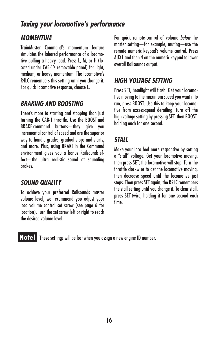## *MOMENTUM*

TrainMaster Command's momentum feature simulates the labored performance of a locomotive pulling a heavy load. Press L, M, or H (located under CAB-1's removable panel) for light, medium, or heavy momentum. The locomotive's R4LC remembers this setting until you change it. For quick locomotive response, choose L.

## *BRAKING AND BOOSTING*

There's more to starting and stopping than just turning the CAB-1 throttle. Use the BOOST and BRAKE command buttons—they give you incremental control of speed and are the superior way to handle grades, gradual stops-and-starts, and more. Plus, using BRAKE in the Command environment gives you a bonus Railsounds effect-the ultra realistic sound of savealing brakes.

## *SOUND QUALITY*

To achieve your preferred Railsounds master volume level, we recommend you adjust your loco volume control set screw (see page 6 for location). Turn the set screw left or right to reach the desired volume level.

For quick remote-control of volume *below* the master setting—for example, muting—use the remote numeric keypad's volume control. Press AUX1 and then 4 on the numeric keypad to lower overall Railsounds output.

## *HIGH VOLTAGE SETTING*

Press SET, headlight will flash. Get your locomotive moving to the maximum speed you want it to run, press BOOST. Use this to keep your locomotive from excess-speed derailing. Turn off the high voltage setting by pressing SET, then BOOST, holding each for one second.

## *STALL*

Make your loco feel more responsive by setting a "stall" voltage. Get your locomotive moving, then press SET; the locomotive will stop. Turn the throttle clockwise to get the locomotive moving, then decrease speed until the locomotive just stops. Then press SET again; the R2LC remembers the stall setting until you change it. To clear stall, press SET twice, holding it for one second each time.

**Note!** These settings will be lost when you assign a new engine ID number.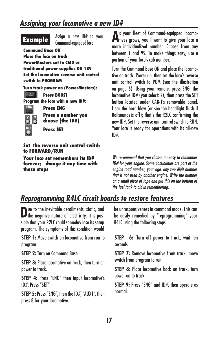## *Assigning your locomotive a new ID#*

Assign a new  $ID#$  to your **Example** Command-equipped loco **Command Base ON Place the loco on track PowerMasters set to CMD or traditional power supplies ON 18V Set the locomotive reverse unit control switch to PROGRAM Turn track power on (PowerMasters):**  $\Box$ **Press BOOST Program the loco with a new ID#: ENG Press ENG Press a number you choose (the ID#) Press SET** 

**Set the reverse unit control switch to FORWARD/RUN**

**Your loco set remembers its ID# forever; change it any time with these steps**

**A** s your fleet of Command-equipped locomotives grows, you'll want to give your loco a more individualized number. Choose from any between 1 and 99. To make things easy, use a portion of your loco's cab number.

Turn the Command Base ON and place the locomotive on track. Power up, then set the loco's reverse unit control switch to PGM (see the illustration on page 6). Using your remote, press ENG, the locomotive ID# (you select: ?), then press the SET button located under CAB-1's removable panel. Hear the horn blow (or see the headlight flash if Railsounds is off); that's the R2LC confirming the new ID#. Set the reverse unit control switch to RUN. Your loco is ready for operations with its all-new  $ID#$ 

*We recommend that you choose an easy to remember ID# for your engine. Some possibilities are part of the engine road number, your age, any two digit number that is not used by another engine. Write the number on a small piece of tape and put this on the bottom of the fuel tank to aid in remembering.*

# *Reprogramming R4LC circuit boards to restore features*

**D**ue to the inevitable derailments, static, and the negative nature of electricity, it is possible that your R2LC could someday lose its setup program. The symptoms of this condition would

**STEP 1:** Move switch on locomotive from run to program.

**STEP 2:** Turn on Command Base.

**STEP 3: Place locomotive on track, then turn on** power to track.

**STEP 4:** Press "ENG" then input locomotive's ID#. Press "SET"

**STEP 5:** Press "ENG", then the ID#, "AUX1", then press 8 for your locomotive.

be unresponsiveness in command mode. This can be easily remedied by "reprogramming" your R4LC using the following steps.

**STEP 6:** Turn off power to track, wait ten seconds.

**STEP 7:** Remove locomotive from track, move switch from program to run.

**STEP 8:** Place locomotive back on track, turn power on to track.

**STEP 9:** Press "ENG" and ID#, then operate as normal.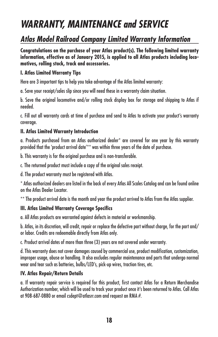# *WARRANTY, MAINTENANCE and SERVICE*

# *Atlas Model Railroad Company Limited Warranty Information*

**Congratulations on the purchase of your Atlas product(s). The following limited warranty information, effective as of January 2015, is applied to all Atlas products including locomotives, rolling stock, track and accessories.**

#### **I. Atlas Limited Warranty Tips**

Here are 3 important tips to help you take advantage of the Atlas limited warranty:

a. Save your receipt/sales slip since you will need these in a warranty claim situation.

b. Save the original locomotive and/or rolling stock display box for storage and shipping to Atlas if needed.

c. Fill out all warranty cards at time of purchase and send to Atlas to activate your product's warranty coverage.

### **II. Atlas Limited Warranty Introduction**

a. Products purchased from an Atlas authorized dealer\* are covered for one year by this warranty provided that the 'product arrival date'\*\* was within three years of the date of purchase.

b. This warranty is for the original purchase and is non-transferable.

c. The returned product must include a copy of the original sales receipt.

d. The product warranty must be registered with Atlas.

\* Atlas authorized dealers are listed in the back of every Atlas All Scales Catalog and can be found online on the Atlas Dealer Locator.

\*\* The product arrival date is the month and year the product arrived to Atlas from the Atlas supplier.

### **III. Atlas Limited Warranty Coverage Specifics**

a. All Atlas products are warranted against defects in material or workmanship.

b. Atlas, in its discretion, will credit, repair or replace the defective part without charge, for the part and/ or labor. Credits are redeemable directly from Atlas only.

c. Product arrival dates of more than three (3) years are not covered under warranty.

d. This warranty does not cover damages caused by commercial use, product modification, customization, improper usage, abuse or handling. It also excludes regular maintenance and parts that undergo normal wear and tear such as batteries, bulbs/LED's, pick-up wires, traction tires, etc.

### **IV. Atlas Repair/Return Details**

a. If warranty repair service is required for this product, first contact Atlas for a Return Merchandise Authorization number, which will be used to track your product once it's been returned to Atlas. Call Atlas at 908-687-0880 or email csdept@atlasrr.com and request an RMA #.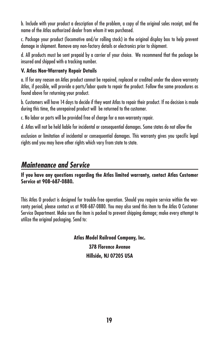b. Include with your product a description of the problem, a copy of the original sales receipt, and the name of the Atlas authorized dealer from whom it was purchased.

c. Package your product (locomotive and/or rolling stock) in the original display box to help prevent damage in shipment. Remove any non-factory details or electronics prior to shipment.

d. All products must be sent prepaid by a carrier of your choice. We recommend that the package be insured and shipped with a tracking number.

#### **V. Atlas Non-Warranty Repair Details**

a. If for any reason an Atlas product cannot be repaired, replaced or credited under the above warranty Atlas, if possible, will provide a parts/labor quote to repair the product. Follow the same procedures as found above for returning your product.

b. Customers will have 14 days to decide if they want Atlas to repair their product. If no decision is made during this time, the unrepaired product will be returned to the customer.

c. No labor or parts will be provided free of charge for a non-warranty repair.

d. Atlas will not be held liable for incidental or consequential damages. Some states do not allow the

exclusion or limitation of incidental or consequential damages. This warranty gives you specific legal rights and you may have other rights which vary from state to state.

## *Maintenance and Service*

**If you have any questions regarding the Atlas limited warranty, contact Atlas Customer Service at 908-687-0880.**

This Atlas O product is designed for trouble-free operation. Should you require service within the warranty period, please contact us at 908-687-0880. You may also send this item to the Atlas O Customer Service Department. Make sure the item is packed to prevent shipping damage; make every attempt to utilize the original packaging. Send to:

> **Atlas Model Railroad Company, Inc. 378 Florence Avenue Hillside, NJ 07205 USA**